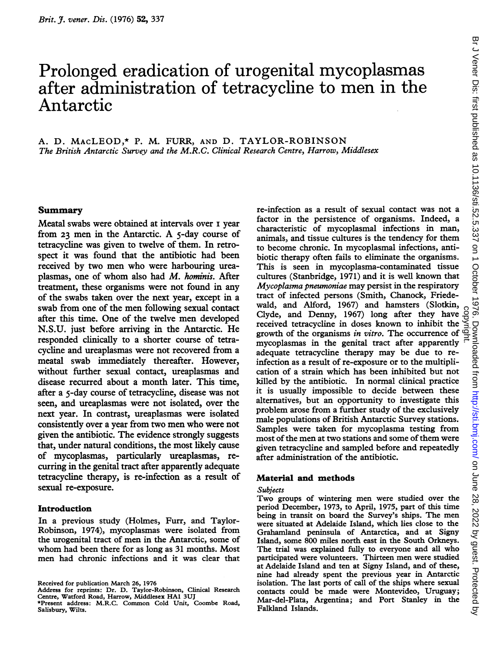# Prolonged eradication of urogenital mycoplasmas after administration of tetracycline to men in the Antarctic

# A. D. MAcLEOD,\* P. M. FURR, AND D. TAYLOR-ROBINSON The British Antarctic Survey and the M.R.C. Clinical Research Centre, Harrow, Middlesex

# Summary

Meatal swabs were obtained at intervals over <sup>i</sup> year from <sup>23</sup> men in the Antarctic. A 5-day course of tetracycline was given to twelve of them. In retrospect it was found that the antibiotic had been received by two men who were harbouring ureaplasmas, one of whom also had M. hominis. After treatment, these organisms were not found in any of the swabs taken over the next year, except in a swab from one of the men following sexual contact after this time. One of the twelve men developed N.S.U. just before arriving in the Antarctic. He responded clinically to a shorter course of tetracycline and ureaplasmas were not recovered from a meatal swab immediately thereafter. However, without further sexual contact, ureaplasmas and disease recurred about a month later. This time, after a 5-day course of tetracycline, disease was not seen, and ureaplasmas were not isolated, over the next year. In contrast, ureaplasmas were isolated consistently over <sup>a</sup> year from two men who were not given the antibiotic. The evidence strongly suggests that, under natural conditions, the most likely cause of mycoplasmas, particularly ureaplasmas, recurring in the genital tract after apparently adequate tetracycline therapy, is re-infection as a result of sexual re-exposure.

# Introduction

In a previous study (Holmes, Furr, and Taylor-Robinson, 1974), mycoplasmas were isolated from the urogenital tract of men in the Antarctic, some of whom had been there for as long as <sup>31</sup> months. Most men had chronic infections and it was clear that

Received for publication March 26, 1976

re-infection as a result of sexual contact was not a factor in the persistence of organisms. Indeed, a characteristic of mycoplasmal infections in man, animals, and tissue cultures is the tendency for them to become chronic. In mycoplasmal infections, antibiotic therapy often fails to eliminate the organisms. This is seen in mycoplasma-contaminated tissue cultures (Stanbridge, 1971) and it is well known that Mycoplasma pneumoniae may persist in the respiratory tract of infected persons (Smith, Chanock, Friedewald, and Alford, 1967) and hamsters (Slotkin, Clyde, and Denny, 1967) long after they have received tetracycline in doses known to inhibit the Clyde, and Denny, 1967) long after they have  $\frac{10}{2}$ <br>received tetracycline in doses known to inhibit the  $\frac{10}{2}$ <br>growth of the organisms *in vitro*. The occurrence of  $\frac{10}{2}$ mycoplasmas in the genital tract after apparently  $\frac{1}{x}$ adequate tetracycline therapy may be due to reinfection as a result of re-exposure or to the multiplication of a strain which has been inhibited but not killed by the antibiotic. In normal clinical practice it is usually impossible to decide between these alternatives, but an opportunity to investigate this problem arose from a further study of the exclusively male populations of British Antarctic Survey stations. Samples were taken for mycoplasma testing from most of the men at two stations and some of them were given tetracycline and sampled before and repeatedly after administration of the antibiotic.

# Material and methods

#### Subjects

Two groups of wintering men were studied over the period December, 1973, to April, 1975, part of this time being in transit on board the Survey's ships. The men were situated at Adelaide Island, which lies close to the Grahamland peninsula of Antarctica, and at Signy Island, some 800 miles north east in the South Orkneys. The trial was explained fully to everyone and all who participated were volunteers. Thirteen men were studied at Adelaide Island and ten at Signy Island, and of these, nine had already spent the previous year in Antarctic isolation. The last ports of call of the ships where sexual contacts could be made were Montevideo, Uruguay; Mar-del-Plata, Argentina; and Port Stanley in the Falkland Islands.

Address for reprints: Dr. D. Taylor-Robinson, Clinical Research Centre, Watford Road, Harrow, Middlesex HAI 3UJ

<sup>\*</sup>Present address: M.R.C. Common Cold Unit, Coombe Road, Salisbury, Wilts.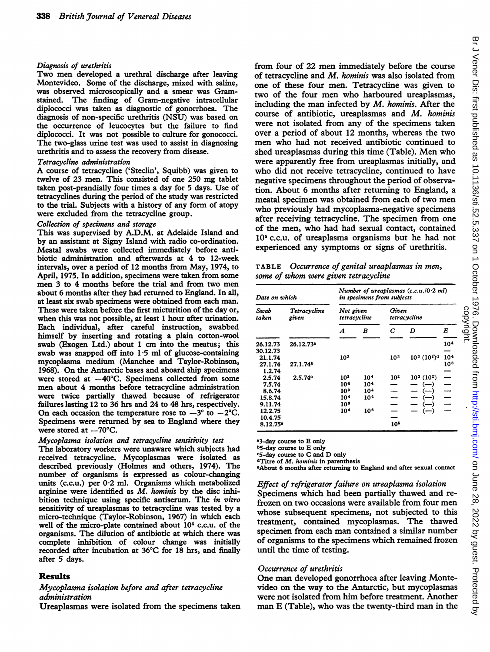#### Diagnosis of urethritis

Two men developed <sup>a</sup> urethral discharge after leaving Montevideo. Some of the discharge, mixed with saline, was observed microscopically and a smear was Gramstained. The finding of Gram-negative intracellular diplococci was taken as diagnostic of gonorrhoea. The diagnosis of non-specific urethritis (NSU) was based on the occurrence of leucocytes but the failure to find diplococci. It was not possible to culture for gonococci. The two-glass urine test was used to assist in diagnosing urethritis and to assess the recovery from disease.

#### Tetracycline administration

A course of tetracycline ('Steclin', Squibb) was given to twelve of 23 men. This consisted of one 250 mg tablet taken post-prandially four times a day for 5 days. Use of tetracyclines during the period of the study was restricted to the trial. Subjects with a history of any form of atopy were excluded from the tetracycline group.

#### Collection of specimens and storage

This was supervised by A.D.M. at Adelaide Island and by an assistant at Signy Island with radio co-ordination. Meatal swabs were collected immediately before antibiotic administration and afterwards at 4 to 12-week intervals, over a period of 12 months from May, 1974, to April, 1975. In addition, specimens were taken from some men 3 to 4 months before the trial and from two men about 6 months after they had returned to England. In all, at least six swab specimens were obtained from each man. These were taken before the first micturition of the day or, when this was not possible, at least <sup>1</sup> hour after urination. Each individual, after careful instruction, swabbed himself by inserting and rotating a plain cotton-wool swab (Exogen Ltd.) about <sup>1</sup> cm into the meatus; this swab was snapped off into 1-5 ml of glucose-containing mycoplasma medium (Manchee and Taylor-Robinson, 1968). On the Antarctic bases and aboard ship specimens were stored at  $-40^{\circ}$ C. Specimens collected from some men about 4 months before tetracycline administration were twice partially thawed because of refrigerator failures lasting 12 to 36 hrs and 24 to 48 hrs, respectively. On each occasion the temperature rose to  $-3^{\circ}$  to  $-2^{\circ}$ C. Specimens were returned by sea to England where they were stored at  $-70^{\circ}$ C.

#### Mycoplasma isolation and tetracycline sensitivity test

The laboratory workers were unaware which subjects had received tetracycline. Mycoplasmas were isolated as described previously (Holmes and others, 1974). The number of organisms is expressed as colour-changing units (c.c.u.) per 0-2 ml. Organisms which metabolized arginine were identified as M. hominis by the disc inhibition technique using specific antiserum. The in vitro sensitivity of ureaplasmas to tetracycline was tested by a micro-technique (Taylor-Robinson, 1967) in which each well of the micro-plate contained about 104 c.c.u. of the organisms. The dilution of antibiotic at which there was complete inhibition of colour change was initially recorded after incubation at 36°C for 18 hrs, and finally after 5 days.

# Results

### Mycoplasma isolation before and after tetracycline administration

Ureaplasmas were isolated from the specimens taken

from four of 22 men immediately before the course of tetracycline and M. hominis was also isolated from one of these four men. Tetracycline was given to two of the four men who harboured ureaplasmas, including the man infected by  $M$ . hominis. After the course of antibiotic, ureaplasmas and M. hominis were not isolated from any of the specimens taken over a period of about 12 months, whereas the two men who had not received antibiotic continued to shed ureaplasmas during this time (Table). Men who were apparently free from ureaplasmas initially, and who did not receive tetracycline, continued to have negative specimens throughout the period of observation. About 6 months after returning to England, a meatal specimen was obtained from each of two men who previously had mycoplasma-negative specimens after receiving tetracycline. The specimen from one of the men, who had had sexual contact, contained 105 c.c.u. of ureaplasma organisms but he had not experienced any symptoms or signs of urethritis.

TABLE Occurrence of genital ureaplasmas in men, some of whom were given tetracycline

| Date on which          |                         | Number of ureaplasmas $(c.c.u. / 0.2 ml)$<br>in specimens from subjects |                 |                       |                   |                 |
|------------------------|-------------------------|-------------------------------------------------------------------------|-----------------|-----------------------|-------------------|-----------------|
| Swab<br>taken          | Tetracycline<br>given   | Not given<br>tetracycline                                               |                 | Given<br>tetracycline |                   |                 |
|                        |                         | A                                                                       | B               | С                     | D                 | E               |
| 26.12.73<br>30.12.73   | $26.12.73$ <sup>a</sup> |                                                                         |                 |                       |                   | 104             |
| 21.1.74                |                         | 10 <sup>3</sup>                                                         |                 | 10 <sup>3</sup>       | $10^3 \ (10^2)^d$ | 104             |
| 27.1.74<br>1.2.74      | 27.1.74 <sup>b</sup>    |                                                                         |                 |                       |                   | 10 <sup>3</sup> |
| 2.5.74                 | 2.5.74°                 | 102                                                                     | 104             | 10 <sup>2</sup>       | $10^3(10^2)$      |                 |
| 7.5.74                 |                         | 104                                                                     | 104             |                       | $(-)$             |                 |
| 8.6.74                 |                         | 103                                                                     | 104             |                       | $(-)$             |                 |
| 15.8.74                |                         | 104                                                                     | 10 <sup>4</sup> |                       |                   |                 |
| 9.11.74                |                         | 10 <sup>3</sup>                                                         |                 |                       | (----)            |                 |
| 12.2.75                |                         | 104                                                                     | 106             |                       | $(-)$             |                 |
| 10.4.75                |                         |                                                                         |                 |                       |                   |                 |
| $8.12.75$ <sup>e</sup> |                         |                                                                         |                 | 105                   |                   |                 |

a3-day course to E only

b5-day course to E only

c5-day course to C and D only

<sup>d</sup>Titre of *M. hominis* in parenthesis

\*About 6 months after returning to England and after sexual contact

Effect of refrigerator failure on ureaplasma isolation Specimens which had been partially thawed and refrozen on two occasions were available from four men whose subsequent specimens, not subjected to this treatment, contained mycoplasmas. The thawed specimen from each man contained <sup>a</sup> similar number of organisms to the specimens which remained frozen until the time of testing.

#### Occurrence of urethritis

One man developed gonorrhoea after leaving Montevideo on the way to the Antarctic, but mycoplasmas were not isolated from him before treatment. Another man E (Table), who was the twenty-third man in the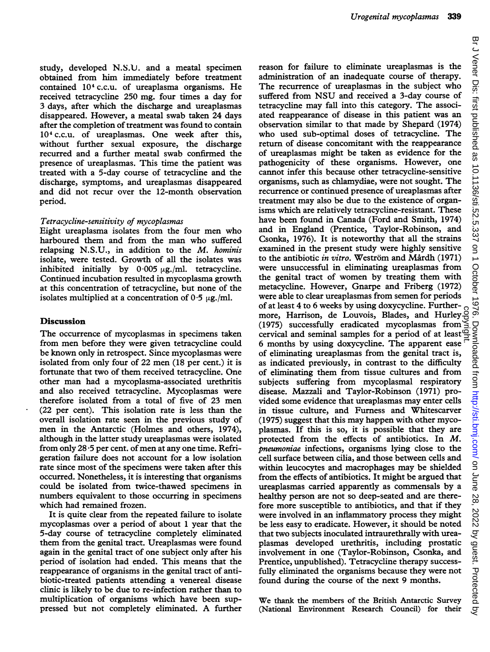study, developed N.S.U. and a meatal specimen obtained from him immediately before treatment contained <sup>104</sup> C.C.U. of ureaplasma organisms. He received tetracycline 250 mg. four times a day for 3 days, after which the discharge and ureaplasmas disappeared. However, a meatal swab taken 24 days after the completion of treatment was found to contain 104 C.C.U. of ureaplasmas. One week after this, without further sexual exposure, the discharge recurred and a further meatal swab confirmed the presence of ureaplasmas. This time the patient was treated with a 5-day course of tetracycline and the discharge, symptoms, and ureaplasmas disappeared and did not recur over the 12-month observation period.

#### Tetracycline-sensitivity of mycoplasmas

Eight ureaplasma isolates from the four men who harboured them and from the man who suffered relapsing N.S.U., in addition to the M. hominis isolate, were tested. Growth of all the isolates was inhibited initially by  $0.005 \mu$ g./ml. tetracycline. Continued incubation resulted in mycoplasma growth at this concentration of tetracycline, but none of the isolates multiplied at a concentration of  $0.5 \mu$ g./ml.

# Discussion

The occurrence of mycoplasmas in specimens taken from men before they were given tetracycline could be known only in retrospect. Since mycoplasmas were isolated from only four of 22 men (18 per cent.) it is fortunate that two of them received tetracycline. One other man had <sup>a</sup> mycoplasma-associated urethritis and also received tetracycline. Mycoplasmas were therefore isolated from <sup>a</sup> total of five of 23 men (22 per cent). This isolation rate is less than the overall isolation rate seen in the previous study of men in the Antarctic (Holmes and others, 1974), although in the latter study ureaplasmas were isolated from only 28 \*5 per cent. of men at any one time. Refrigeration failure does not account for a low isolation rate since most of the specimens were taken after this occurred. Nonetheless, it is interesting that organisms could be isolated from twice-thawed specimens in numbers equivalent to those occurring in specimens which had remained frozen.

It is quite clear from the repeated failure to isolate mycoplasmas over a period of about <sup>1</sup> year that the 5-day course of tetracycline completely eliminated them from the genital tract. Ureaplasmas were found again in the genital tract of one subject only after his period of isolation had ended. This means that the reappearance of organisms in the genital tract of antibiotic-treated patients attending a venereal disease clinic is likely to be due to re-infection rather than to multiplication of organisms which have been suppressed but not completely eliminated. A further reason for failure to eliminate ureaplasmas is the administration of an inadequate course of therapy. The recurrence of ureaplasmas in the subject who suffered from NSU and received <sup>a</sup> 3-day course of tetracycline may fall into this category. The associated reappearance of disease in this patient was an observation similar to that made by Shepard (1974) who used sub-optimal doses of tetracycline. The return of disease concomitant with the reappearance of ureaplasmas might be taken as evidence for the pathogenicity of these organisms. However, one cannot infer this because other tetracycline-sensitive organisms, such as chlamydiae, were not sought. The recurrence or continued presence of ureaplasmas after treatment may also be due to the existence of organisms which are relatively tetracycline-resistant. These have been found in Canada (Ford and Smith, 1974) and in England (Prentice, Taylor-Robinson, and Csonka, 1976). It is noteworthy that all the strains examined in the present study were highly sensitive to the antibiotic *in vitro*. Weström and Mårdh (1971) were unsuccessful in eliminating ureaplasmas from the genital tract of women by treating them with metacycline. However, Gnarpe and Friberg (1972) were able to clear ureaplasmas from semen for periods of at least 4 to 6 weeks by using doxycycline. Furthermore, Harrison, de Louvois, Blades, and Hurley (1975) successfully eradicated mycoplasmas from cervical and seminal samples for a period of at least 6 months by using doxycycline. The apparent ease of eliminating ureaplasmas from the genital tract is, as indicated previously, in contrast to the difficulty of eliminating them from tissue cultures and from subjects suffering from mycoplasmal respiratory disease. Mazzali and Taylor-Robinson (1971) provided some evidence that ureaplasmas may enter cells in tissue culture, and Furness and Whitescarver (1975) suggest that this may happen with other mycoplasmas. If this is so, it is possible that they are protected from the effects of antibiotics. In M. pneumoniae infections, organisms lying close to the cell surface between cilia, and those between cells and within leucocytes and macrophages may be shielded from the effects of antibiotics. It might be argued that ureaplasmas carried apparently as commensals by a healthy person are not so deep-seated and are therefore more susceptible to antibiotics, and that if they were involved in an inflammatory process they might be less easy to eradicate. However, it should be noted that two subjects inoculated intraurethrally with ureaplasmas developed urethritis, including prostatic involvement in one (Taylor-Robinson, Csonka, and Prentice, unpublished). Tetracycline therapy successfully eliminated the organisms because they were not found during the course of the next 9 months. copyright.

We thank the members of the British Antarctic Survey (National Environment Research Council) for their